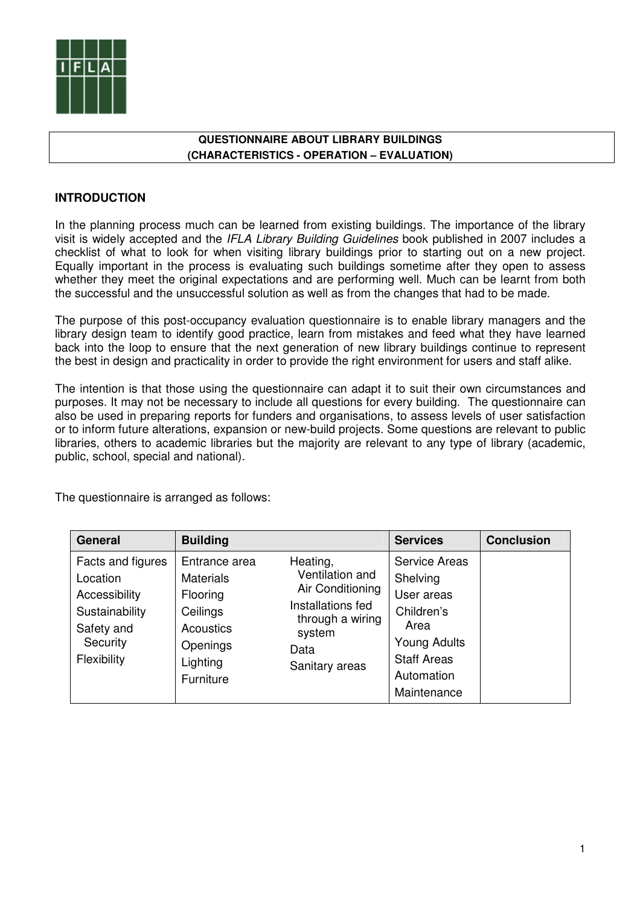

# **QUESTIONNAIRE ABOUT LIBRARY BUILDINGS (CHARACTERISTICS - OPERATION – EVALUATION)**

# **INTRODUCTION**

In the planning process much can be learned from existing buildings. The importance of the library visit is widely accepted and the IFLA Library Building Guidelines book published in 2007 includes a checklist of what to look for when visiting library buildings prior to starting out on a new project. Equally important in the process is evaluating such buildings sometime after they open to assess whether they meet the original expectations and are performing well. Much can be learnt from both the successful and the unsuccessful solution as well as from the changes that had to be made.

The purpose of this post-occupancy evaluation questionnaire is to enable library managers and the library design team to identify good practice, learn from mistakes and feed what they have learned back into the loop to ensure that the next generation of new library buildings continue to represent the best in design and practicality in order to provide the right environment for users and staff alike.

The intention is that those using the questionnaire can adapt it to suit their own circumstances and purposes. It may not be necessary to include all questions for every building. The questionnaire can also be used in preparing reports for funders and organisations, to assess levels of user satisfaction or to inform future alterations, expansion or new-build projects. Some questions are relevant to public libraries, others to academic libraries but the majority are relevant to any type of library (academic, public, school, special and national).

The questionnaire is arranged as follows:

| General                                                                                                   | <b>Building</b>                                                                                                    |                                                                                                                              | <b>Services</b>                                                                                                                         | <b>Conclusion</b> |
|-----------------------------------------------------------------------------------------------------------|--------------------------------------------------------------------------------------------------------------------|------------------------------------------------------------------------------------------------------------------------------|-----------------------------------------------------------------------------------------------------------------------------------------|-------------------|
| Facts and figures<br>Location<br>Accessibility<br>Sustainability<br>Safety and<br>Security<br>Flexibility | Entrance area<br><b>Materials</b><br>Flooring<br>Ceilings<br><b>Acoustics</b><br>Openings<br>Lighting<br>Furniture | Heating,<br>Ventilation and<br>Air Conditioning<br>Installations fed<br>through a wiring<br>system<br>Data<br>Sanitary areas | <b>Service Areas</b><br>Shelving<br>User areas<br>Children's<br>Area<br>Young Adults<br><b>Staff Areas</b><br>Automation<br>Maintenance |                   |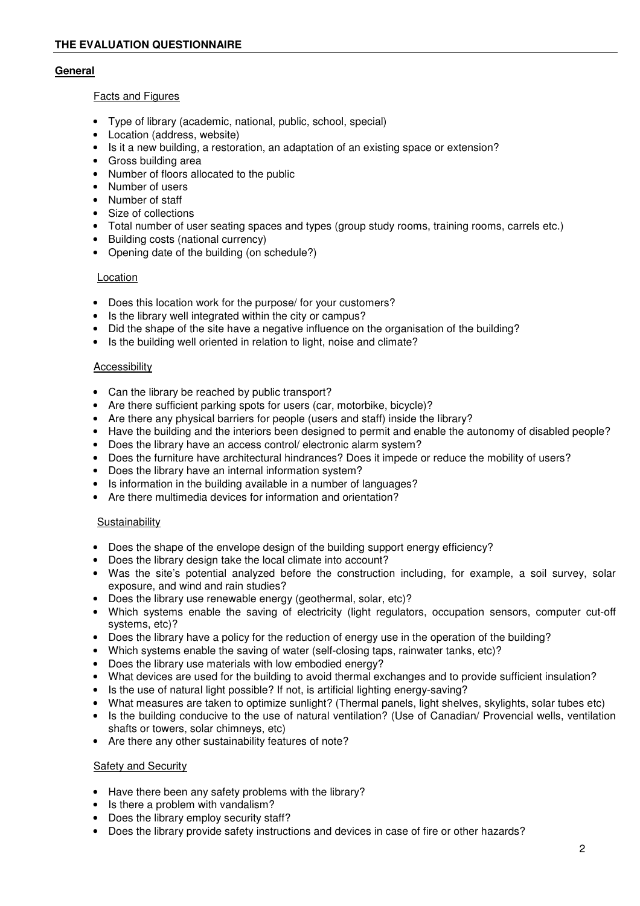## **General**

### Facts and Figures

- Type of library (academic, national, public, school, special)
- Location (address, website)
- Is it a new building, a restoration, an adaptation of an existing space or extension?
- Gross building area
- Number of floors allocated to the public
- Number of users
- Number of staff
- Size of collections
- Total number of user seating spaces and types (group study rooms, training rooms, carrels etc.)
- Building costs (national currency)
- Opening date of the building (on schedule?)

## Location

- Does this location work for the purpose/ for your customers?
- Is the library well integrated within the city or campus?
- Did the shape of the site have a negative influence on the organisation of the building?
- Is the building well oriented in relation to light, noise and climate?

## **Accessibility**

- Can the library be reached by public transport?
- Are there sufficient parking spots for users (car, motorbike, bicycle)?
- Are there any physical barriers for people (users and staff) inside the library?
- Have the building and the interiors been designed to permit and enable the autonomy of disabled people?
- Does the library have an access control/ electronic alarm system?
- Does the furniture have architectural hindrances? Does it impede or reduce the mobility of users?
- Does the library have an internal information system?
- Is information in the building available in a number of languages?
- Are there multimedia devices for information and orientation?

# **Sustainability**

- Does the shape of the envelope design of the building support energy efficiency?
- Does the library design take the local climate into account?
- Was the site's potential analyzed before the construction including, for example, a soil survey, solar exposure, and wind and rain studies?
- Does the library use renewable energy (geothermal, solar, etc)?
- Which systems enable the saving of electricity (light regulators, occupation sensors, computer cut-off systems, etc)?
- Does the library have a policy for the reduction of energy use in the operation of the building?
- Which systems enable the saving of water (self-closing taps, rainwater tanks, etc)?
- Does the library use materials with low embodied energy?
- What devices are used for the building to avoid thermal exchanges and to provide sufficient insulation?
- Is the use of natural light possible? If not, is artificial lighting energy-saving?
- What measures are taken to optimize sunlight? (Thermal panels, light shelves, skylights, solar tubes etc)
- Is the building conducive to the use of natural ventilation? (Use of Canadian/ Provencial wells, ventilation shafts or towers, solar chimneys, etc)
- Are there any other sustainability features of note?

### Safety and Security

- Have there been any safety problems with the library?
- Is there a problem with vandalism?
- Does the library employ security staff?
- Does the library provide safety instructions and devices in case of fire or other hazards?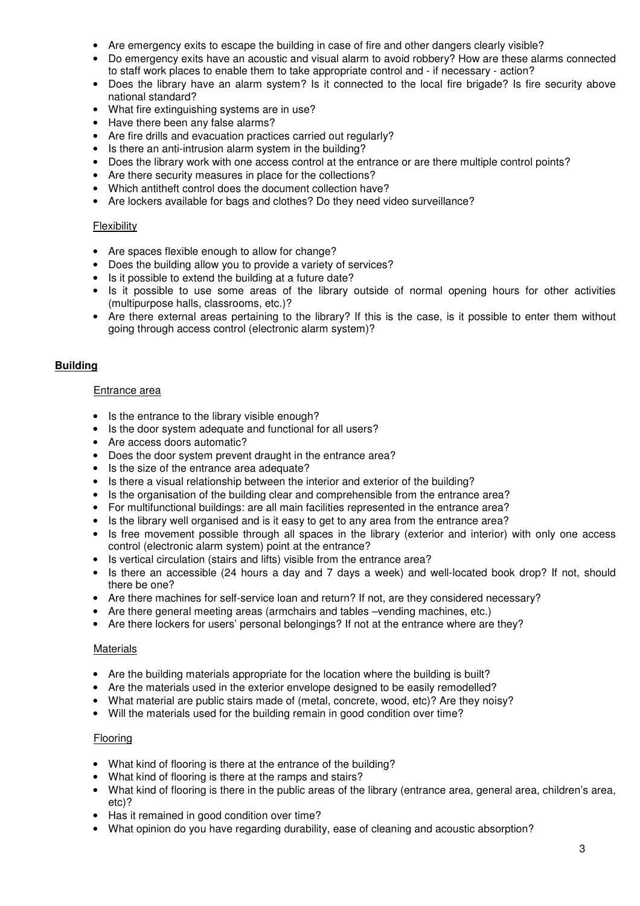- Are emergency exits to escape the building in case of fire and other dangers clearly visible?
- Do emergency exits have an acoustic and visual alarm to avoid robbery? How are these alarms connected to staff work places to enable them to take appropriate control and - if necessary - action?
- Does the library have an alarm system? Is it connected to the local fire brigade? Is fire security above national standard?
- What fire extinguishing systems are in use?
- Have there been any false alarms?
- Are fire drills and evacuation practices carried out regularly?
- Is there an anti-intrusion alarm system in the building?
- Does the library work with one access control at the entrance or are there multiple control points?
- Are there security measures in place for the collections?
- Which antitheft control does the document collection have?
- Are lockers available for bags and clothes? Do they need video surveillance?

### Flexibility

- Are spaces flexible enough to allow for change?
- Does the building allow you to provide a variety of services?
- Is it possible to extend the building at a future date?
- Is it possible to use some areas of the library outside of normal opening hours for other activities (multipurpose halls, classrooms, etc.)?
- Are there external areas pertaining to the library? If this is the case, is it possible to enter them without going through access control (electronic alarm system)?

# **Building**

### Entrance area

- Is the entrance to the library visible enough?
- Is the door system adequate and functional for all users?
- Are access doors automatic?
- Does the door system prevent draught in the entrance area?
- Is the size of the entrance area adequate?
- Is there a visual relationship between the interior and exterior of the building?
- Is the organisation of the building clear and comprehensible from the entrance area?
- For multifunctional buildings: are all main facilities represented in the entrance area?
- Is the library well organised and is it easy to get to any area from the entrance area?
- Is free movement possible through all spaces in the library (exterior and interior) with only one access control (electronic alarm system) point at the entrance?
- Is vertical circulation (stairs and lifts) visible from the entrance area?
- Is there an accessible (24 hours a day and 7 days a week) and well-located book drop? If not, should there be one?
- Are there machines for self-service loan and return? If not, are they considered necessary?
- Are there general meeting areas (armchairs and tables –vending machines, etc.)
- Are there lockers for users' personal belongings? If not at the entrance where are they?

### **Materials**

- Are the building materials appropriate for the location where the building is built?
- Are the materials used in the exterior envelope designed to be easily remodelled?
- What material are public stairs made of (metal, concrete, wood, etc)? Are they noisy?
- Will the materials used for the building remain in good condition over time?

### Flooring

- What kind of flooring is there at the entrance of the building?
- What kind of flooring is there at the ramps and stairs?
- What kind of flooring is there in the public areas of the library (entrance area, general area, children's area, etc)?
- Has it remained in good condition over time?
- What opinion do you have regarding durability, ease of cleaning and acoustic absorption?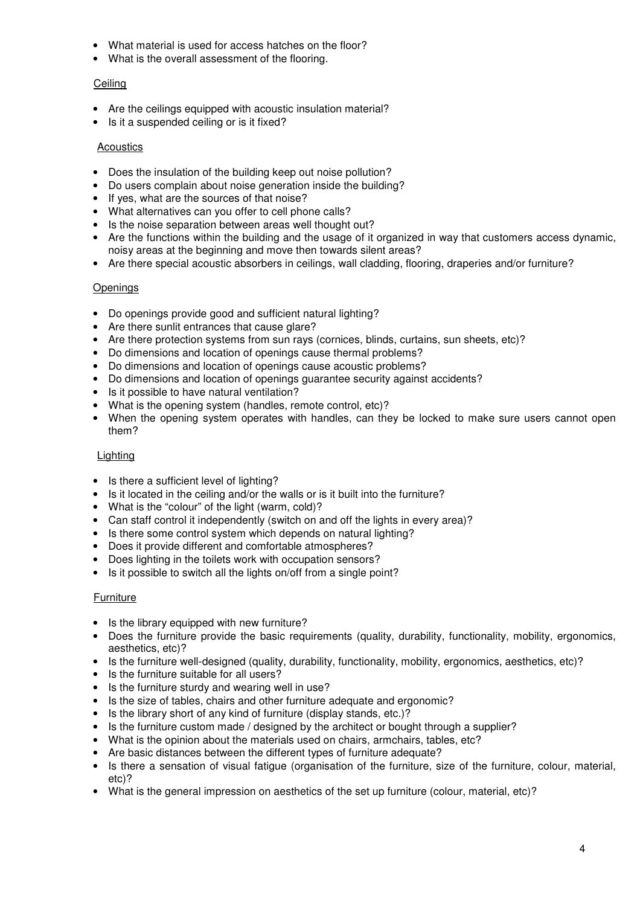- What material is used for access hatches on the floor?
- What is the overall assessment of the flooring.

## **Ceiling**

- Are the ceilings equipped with acoustic insulation material?
- Is it a suspended ceiling or is it fixed?

### **Acoustics**

- Does the insulation of the building keep out noise pollution?
- Do users complain about noise generation inside the building?
- If yes, what are the sources of that noise?
- What alternatives can you offer to cell phone calls?
- Is the noise separation between areas well thought out?
- Are the functions within the building and the usage of it organized in way that customers access dynamic. noisy areas at the beginning and move then towards silent areas?
- Are there special acoustic absorbers in ceilings, wall cladding, flooring, draperies and/or furniture?

## **Openings**

- Do openings provide good and sufficient natural lighting?
- Are there sunlit entrances that cause glare?
- Are there protection systems from sun rays (cornices, blinds, curtains, sun sheets, etc)?
- Do dimensions and location of openings cause thermal problems?
- Do dimensions and location of openings cause acoustic problems?
- Do dimensions and location of openings guarantee security against accidents?
- Is it possible to have natural ventilation?
- What is the opening system (handles, remote control, etc)?
- When the opening system operates with handles, can they be locked to make sure users cannot open them?

## Lighting

- Is there a sufficient level of lighting?
- Is it located in the ceiling and/or the walls or is it built into the furniture?
- What is the "colour" of the light (warm, cold)?
- Can staff control it independently (switch on and off the lights in every area)?
- Is there some control system which depends on natural lighting?
- Does it provide different and comfortable atmospheres?
- Does lighting in the toilets work with occupation sensors?
- Is it possible to switch all the lights on/off from a single point?

# **Furniture**

- Is the library equipped with new furniture?
- Does the furniture provide the basic requirements (quality, durability, functionality, mobility, ergonomics, aesthetics, etc)?
- Is the furniture well-designed (quality, durability, functionality, mobility, ergonomics, aesthetics, etc)?
- Is the furniture suitable for all users?
- Is the furniture sturdy and wearing well in use?
- Is the size of tables, chairs and other furniture adequate and ergonomic?
- Is the library short of any kind of furniture (display stands, etc.)?
- Is the furniture custom made / designed by the architect or bought through a supplier?
- What is the opinion about the materials used on chairs, armchairs, tables, etc?
- Are basic distances between the different types of furniture adequate?
- Is there a sensation of visual fatigue (organisation of the furniture, size of the furniture, colour, material, etc)?
- What is the general impression on aesthetics of the set up furniture (colour, material, etc)?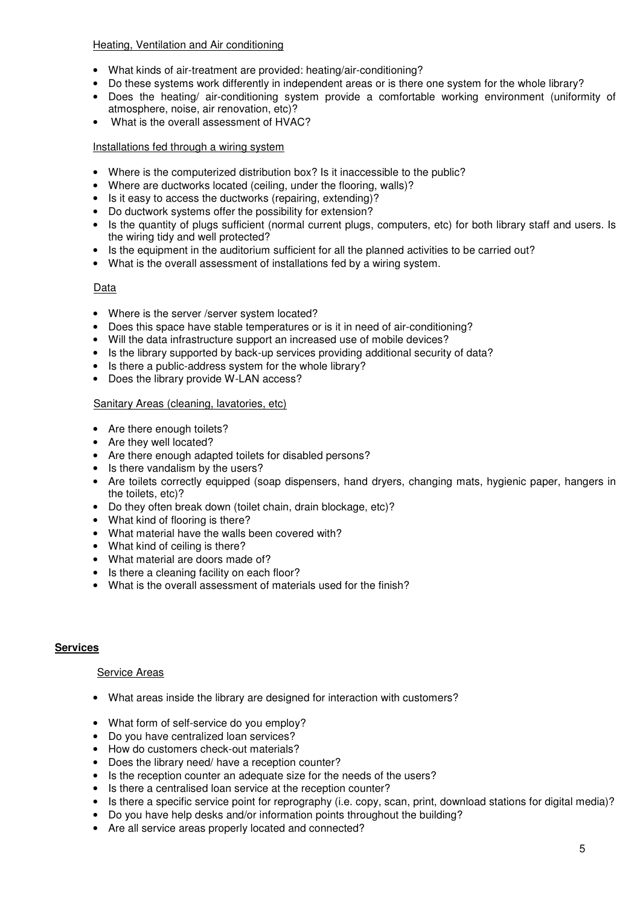### Heating, Ventilation and Air conditioning

- What kinds of air-treatment are provided: heating/air-conditioning?
- Do these systems work differently in independent areas or is there one system for the whole library?
- Does the heating/ air-conditioning system provide a comfortable working environment (uniformity of atmosphere, noise, air renovation, etc)?
- What is the overall assessment of HVAC?

### Installations fed through a wiring system

- Where is the computerized distribution box? Is it inaccessible to the public?
- Where are ductworks located (ceiling, under the flooring, walls)?
- Is it easy to access the ductworks (repairing, extending)?
- Do ductwork systems offer the possibility for extension?
- Is the quantity of plugs sufficient (normal current plugs, computers, etc) for both library staff and users. Is the wiring tidy and well protected?
- Is the equipment in the auditorium sufficient for all the planned activities to be carried out?
- What is the overall assessment of installations fed by a wiring system.

#### **Data**

- Where is the server /server system located?
- Does this space have stable temperatures or is it in need of air-conditioning?
- Will the data infrastructure support an increased use of mobile devices?
- Is the library supported by back-up services providing additional security of data?
- Is there a public-address system for the whole library?
- Does the library provide W-LAN access?

### Sanitary Areas (cleaning, lavatories, etc)

- Are there enough toilets?
- Are they well located?
- Are there enough adapted toilets for disabled persons?
- Is there vandalism by the users?
- Are toilets correctly equipped (soap dispensers, hand dryers, changing mats, hygienic paper, hangers in the toilets, etc)?
- Do they often break down (toilet chain, drain blockage, etc)?
- What kind of flooring is there?
- What material have the walls been covered with?
- What kind of ceiling is there?
- What material are doors made of?
- Is there a cleaning facility on each floor?
- What is the overall assessment of materials used for the finish?

### **Services**

#### Service Areas

- What areas inside the library are designed for interaction with customers?
- What form of self-service do you employ?
- Do you have centralized loan services?
- How do customers check-out materials?
- Does the library need/ have a reception counter?
- Is the reception counter an adequate size for the needs of the users?
- Is there a centralised loan service at the reception counter?
- Is there a specific service point for reprography (i.e. copy, scan, print, download stations for digital media)?
- Do you have help desks and/or information points throughout the building?
- Are all service areas properly located and connected?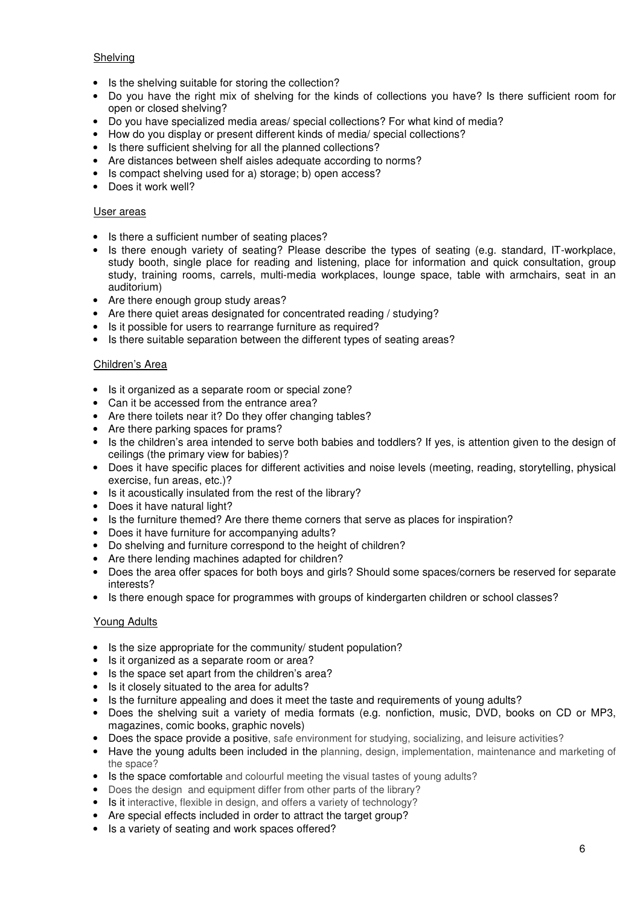## Shelving

- Is the shelving suitable for storing the collection?
- Do you have the right mix of shelving for the kinds of collections you have? Is there sufficient room for open or closed shelving?
- Do you have specialized media areas/ special collections? For what kind of media?
- How do you display or present different kinds of media/ special collections?
- Is there sufficient shelving for all the planned collections?
- Are distances between shelf aisles adequate according to norms?
- Is compact shelving used for a) storage; b) open access?
- Does it work well?

### User areas

- Is there a sufficient number of seating places?
- Is there enough variety of seating? Please describe the types of seating (e.g. standard, IT-workplace, study booth, single place for reading and listening, place for information and quick consultation, group study, training rooms, carrels, multi-media workplaces, lounge space, table with armchairs, seat in an auditorium)
- Are there enough group study areas?
- Are there quiet areas designated for concentrated reading / studying?
- Is it possible for users to rearrange furniture as required?
- Is there suitable separation between the different types of seating areas?

### Children's Area

- Is it organized as a separate room or special zone?
- Can it be accessed from the entrance area?
- Are there toilets near it? Do they offer changing tables?
- Are there parking spaces for prams?
- Is the children's area intended to serve both babies and toddlers? If yes, is attention given to the design of ceilings (the primary view for babies)?
- Does it have specific places for different activities and noise levels (meeting, reading, storytelling, physical exercise, fun areas, etc.)?
- Is it acoustically insulated from the rest of the library?
- Does it have natural light?
- Is the furniture themed? Are there theme corners that serve as places for inspiration?
- Does it have furniture for accompanying adults?
- Do shelving and furniture correspond to the height of children?
- Are there lending machines adapted for children?
- Does the area offer spaces for both boys and girls? Should some spaces/corners be reserved for separate interests?
- Is there enough space for programmes with groups of kindergarten children or school classes?

### Young Adults

- Is the size appropriate for the community/ student population?
- Is it organized as a separate room or area?
- Is the space set apart from the children's area?
- Is it closely situated to the area for adults?
- Is the furniture appealing and does it meet the taste and requirements of young adults?
- Does the shelving suit a variety of media formats (e.g. nonfiction, music, DVD, books on CD or MP3, magazines, comic books, graphic novels)
- Does the space provide a positive, safe environment for studying, socializing, and leisure activities?
- Have the young adults been included in the planning, design, implementation, maintenance and marketing of the space?
- Is the space comfortable and colourful meeting the visual tastes of young adults?
- Does the design and equipment differ from other parts of the library?
- Is it interactive, flexible in design, and offers a variety of technology?
- Are special effects included in order to attract the target group?
- Is a variety of seating and work spaces offered?